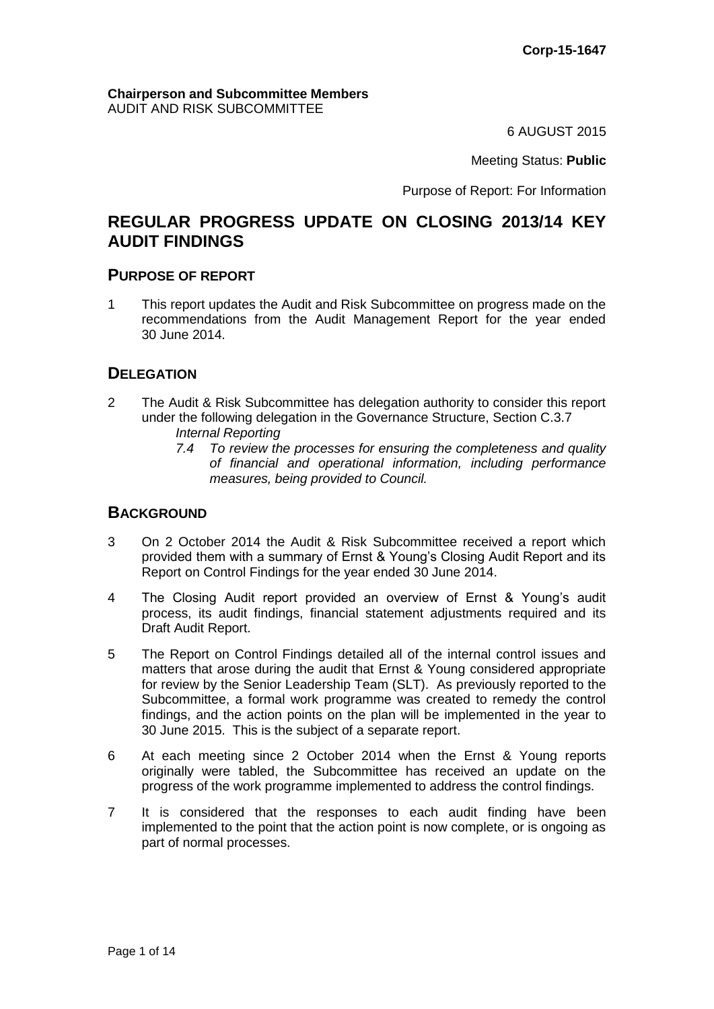#### **Chairperson and Subcommittee Members** AUDIT AND RISK SUBCOMMITTEE

6 AUGUST 2015

Meeting Status: **Public**

Purpose of Report: For Information

# **REGULAR PROGRESS UPDATE ON CLOSING 2013/14 KEY AUDIT FINDINGS**

#### **PURPOSE OF REPORT**

1 This report updates the Audit and Risk Subcommittee on progress made on the recommendations from the Audit Management Report for the year ended 30 June 2014.

# **DELEGATION**

- 2 The Audit & Risk Subcommittee has delegation authority to consider this report under the following delegation in the Governance Structure, Section C.3.7 *Internal Reporting* 
	- *7.4 To review the processes for ensuring the completeness and quality of financial and operational information, including performance measures, being provided to Council.*

## **BACKGROUND**

- 3 On 2 October 2014 the Audit & Risk Subcommittee received a report which provided them with a summary of Ernst & Young's Closing Audit Report and its Report on Control Findings for the year ended 30 June 2014.
- 4 The Closing Audit report provided an overview of Ernst & Young's audit process, its audit findings, financial statement adjustments required and its Draft Audit Report.
- 5 The Report on Control Findings detailed all of the internal control issues and matters that arose during the audit that Ernst & Young considered appropriate for review by the Senior Leadership Team (SLT). As previously reported to the Subcommittee, a formal work programme was created to remedy the control findings, and the action points on the plan will be implemented in the year to 30 June 2015. This is the subject of a separate report.
- 6 At each meeting since 2 October 2014 when the Ernst & Young reports originally were tabled, the Subcommittee has received an update on the progress of the work programme implemented to address the control findings.
- 7 It is considered that the responses to each audit finding have been implemented to the point that the action point is now complete, or is ongoing as part of normal processes.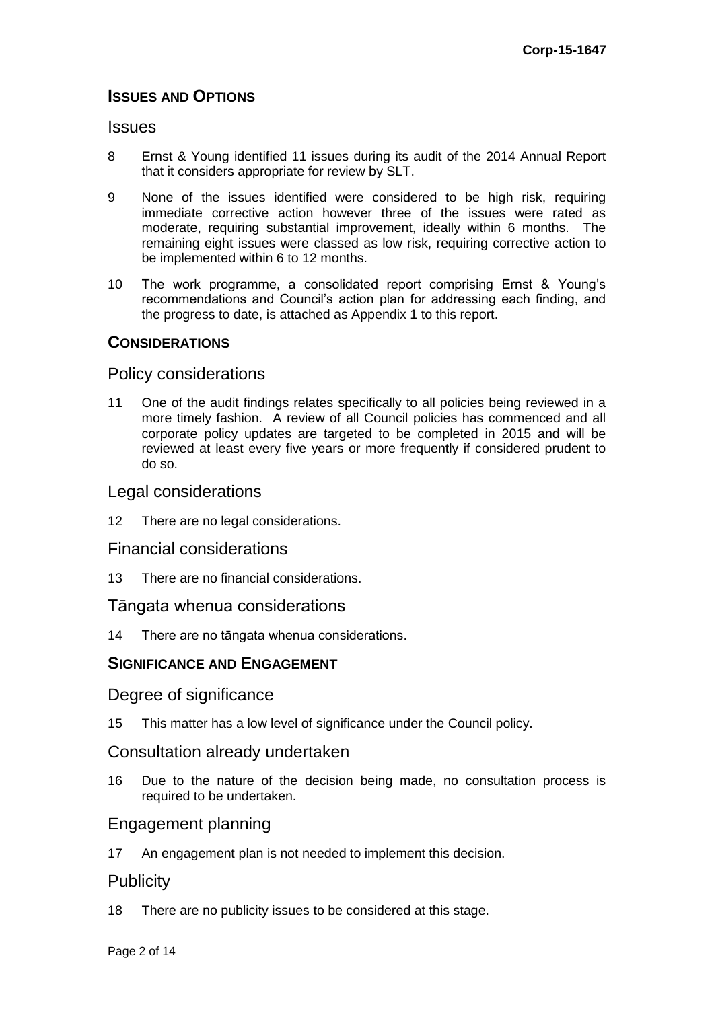# **ISSUES AND OPTIONS**

#### **Issues**

- 8 Ernst & Young identified 11 issues during its audit of the 2014 Annual Report that it considers appropriate for review by SLT.
- 9 None of the issues identified were considered to be high risk, requiring immediate corrective action however three of the issues were rated as moderate, requiring substantial improvement, ideally within 6 months. The remaining eight issues were classed as low risk, requiring corrective action to be implemented within 6 to 12 months.
- 10 The work programme, a consolidated report comprising Ernst & Young's recommendations and Council's action plan for addressing each finding, and the progress to date, is attached as Appendix 1 to this report.

## **CONSIDERATIONS**

## Policy considerations

11 One of the audit findings relates specifically to all policies being reviewed in a more timely fashion. A review of all Council policies has commenced and all corporate policy updates are targeted to be completed in 2015 and will be reviewed at least every five years or more frequently if considered prudent to do so.

# Legal considerations

12 There are no legal considerations.

# Financial considerations

13 There are no financial considerations.

## Tāngata whenua considerations

14 There are no tāngata whenua considerations.

# **SIGNIFICANCE AND ENGAGEMENT**

## Degree of significance

15 This matter has a low level of significance under the Council policy.

## Consultation already undertaken

16 Due to the nature of the decision being made, no consultation process is required to be undertaken.

# Engagement planning

17 An engagement plan is not needed to implement this decision.

## **Publicity**

18 There are no publicity issues to be considered at this stage.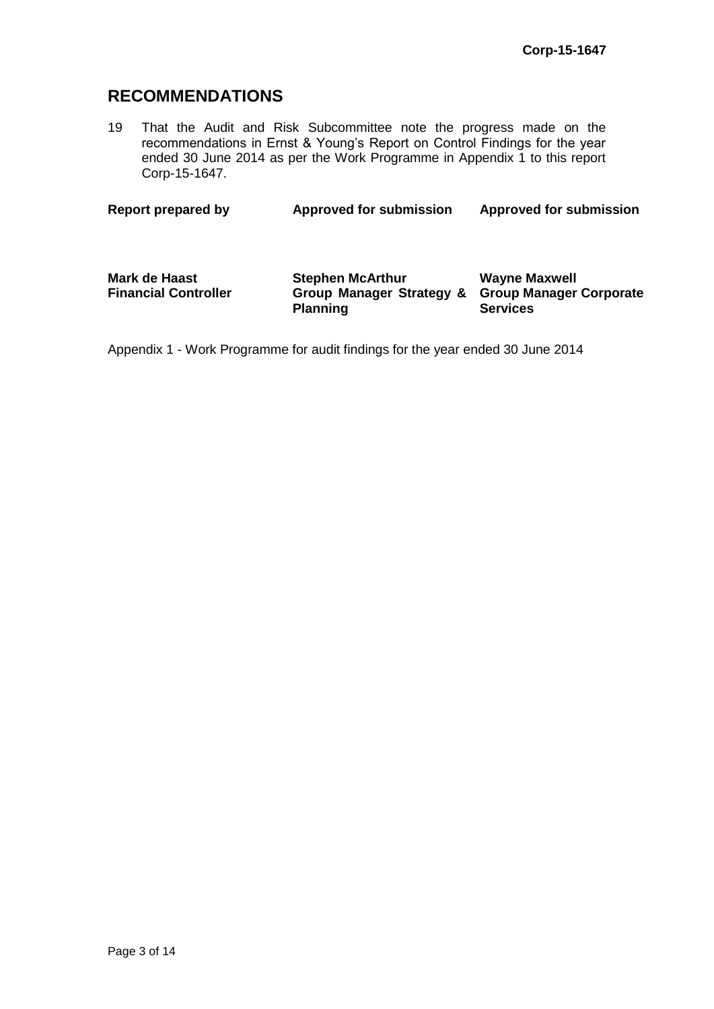# **RECOMMENDATIONS**

19 That the Audit and Risk Subcommittee note the progress made on the recommendations in Ernst & Young's Report on Control Findings for the year ended 30 June 2014 as per the Work Programme in Appendix 1 to this report Corp-15-1647.

| Report prepared by                                  | <b>Approved for submission</b>                                         | <b>Approved for submission</b>                                            |  |  |
|-----------------------------------------------------|------------------------------------------------------------------------|---------------------------------------------------------------------------|--|--|
| <b>Mark de Haast</b><br><b>Financial Controller</b> | <b>Stephen McArthur</b><br>Group Manager Strategy &<br><b>Planning</b> | <b>Wayne Maxwell</b><br><b>Group Manager Corporate</b><br><b>Services</b> |  |  |

Appendix 1 - Work Programme for audit findings for the year ended 30 June 2014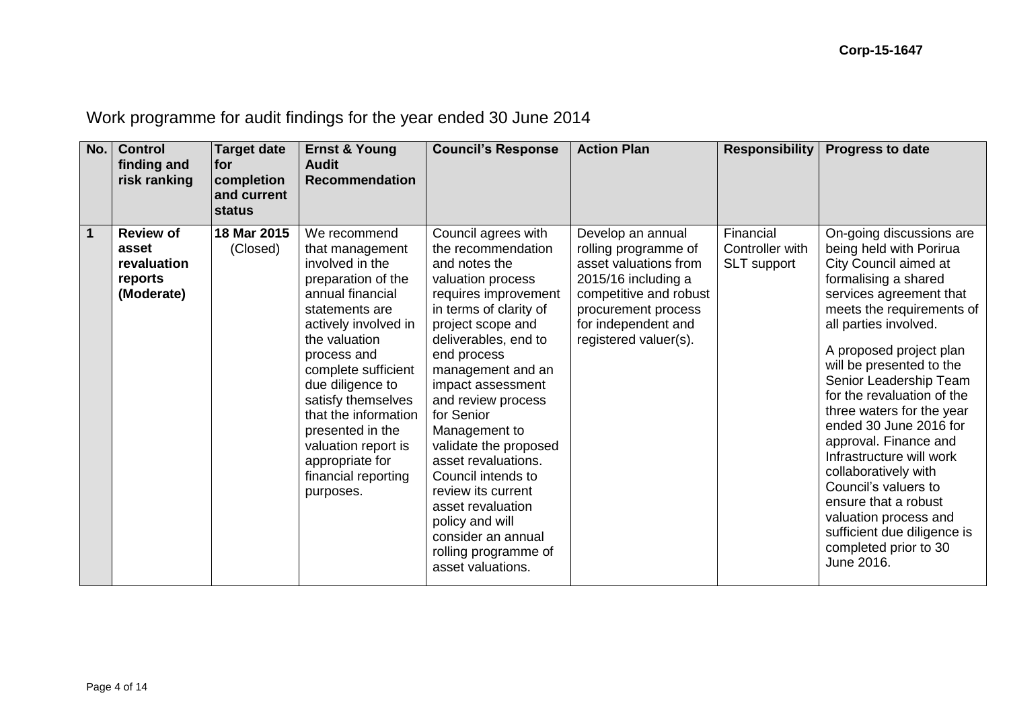Work programme for audit findings for the year ended 30 June 2014

| No.         | <b>Control</b><br>finding and<br>risk ranking                     | <b>Target date</b><br><b>for</b><br>completion<br>and current<br><b>status</b> | <b>Ernst &amp; Young</b><br><b>Audit</b><br><b>Recommendation</b>                                                                                                                                                                                                                                                                                                 | <b>Council's Response</b>                                                                                                                                                                                                                                                                                                                                                                                                                                                                           | <b>Action Plan</b>                                                                                                                                                                         | <b>Responsibility</b>                       | <b>Progress to date</b>                                                                                                                                                                                                                                                                                                                                                                                                                                                                                                                                                                 |
|-------------|-------------------------------------------------------------------|--------------------------------------------------------------------------------|-------------------------------------------------------------------------------------------------------------------------------------------------------------------------------------------------------------------------------------------------------------------------------------------------------------------------------------------------------------------|-----------------------------------------------------------------------------------------------------------------------------------------------------------------------------------------------------------------------------------------------------------------------------------------------------------------------------------------------------------------------------------------------------------------------------------------------------------------------------------------------------|--------------------------------------------------------------------------------------------------------------------------------------------------------------------------------------------|---------------------------------------------|-----------------------------------------------------------------------------------------------------------------------------------------------------------------------------------------------------------------------------------------------------------------------------------------------------------------------------------------------------------------------------------------------------------------------------------------------------------------------------------------------------------------------------------------------------------------------------------------|
| $\mathbf 1$ | <b>Review of</b><br>asset<br>revaluation<br>reports<br>(Moderate) | 18 Mar 2015<br>(Closed)                                                        | We recommend<br>that management<br>involved in the<br>preparation of the<br>annual financial<br>statements are<br>actively involved in<br>the valuation<br>process and<br>complete sufficient<br>due diligence to<br>satisfy themselves<br>that the information<br>presented in the<br>valuation report is<br>appropriate for<br>financial reporting<br>purposes. | Council agrees with<br>the recommendation<br>and notes the<br>valuation process<br>requires improvement<br>in terms of clarity of<br>project scope and<br>deliverables, end to<br>end process<br>management and an<br>impact assessment<br>and review process<br>for Senior<br>Management to<br>validate the proposed<br>asset revaluations.<br>Council intends to<br>review its current<br>asset revaluation<br>policy and will<br>consider an annual<br>rolling programme of<br>asset valuations. | Develop an annual<br>rolling programme of<br>asset valuations from<br>2015/16 including a<br>competitive and robust<br>procurement process<br>for independent and<br>registered valuer(s). | Financial<br>Controller with<br>SLT support | On-going discussions are<br>being held with Porirua<br>City Council aimed at<br>formalising a shared<br>services agreement that<br>meets the requirements of<br>all parties involved.<br>A proposed project plan<br>will be presented to the<br>Senior Leadership Team<br>for the revaluation of the<br>three waters for the year<br>ended 30 June 2016 for<br>approval. Finance and<br>Infrastructure will work<br>collaboratively with<br>Council's valuers to<br>ensure that a robust<br>valuation process and<br>sufficient due diligence is<br>completed prior to 30<br>June 2016. |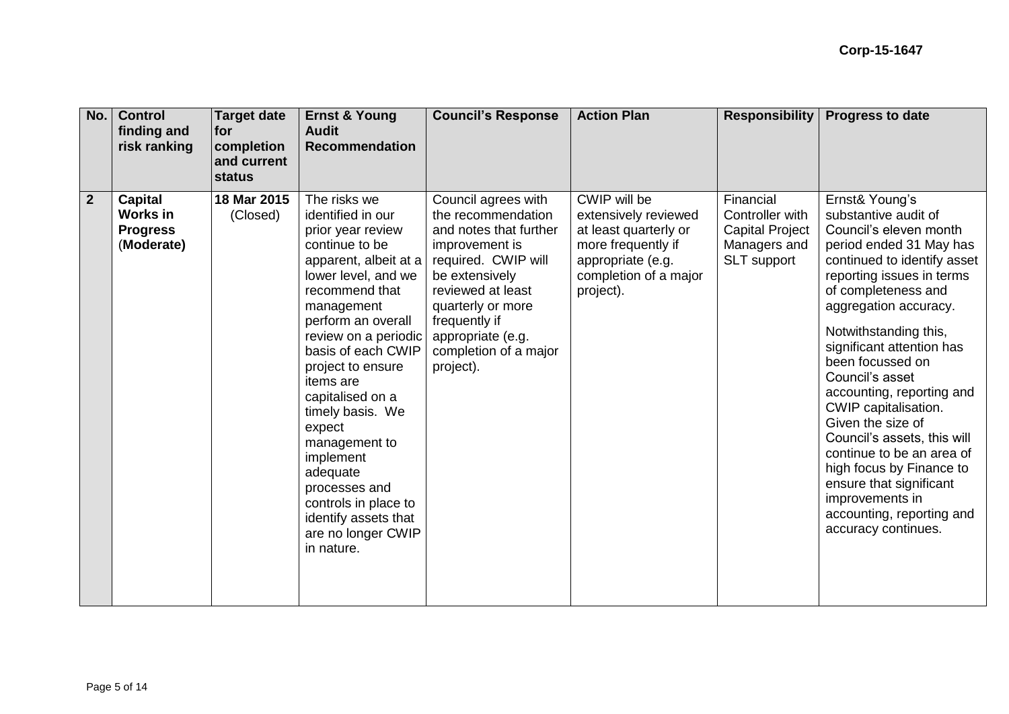| No.            | <b>Control</b><br>finding and<br>risk ranking                      | <b>Target date</b><br>for<br>completion<br>and current<br><b>status</b> | <b>Ernst &amp; Young</b><br><b>Audit</b><br><b>Recommendation</b>                                                                                                                                                                                                                                                                                                                                                                                                      | <b>Council's Response</b>                                                                                                                                                                                                                            | <b>Action Plan</b>                                                                                                                             | <b>Responsibility</b>                                                          | <b>Progress to date</b>                                                                                                                                                                                                                                                                                                                                                                                                                                                                                                                                                  |
|----------------|--------------------------------------------------------------------|-------------------------------------------------------------------------|------------------------------------------------------------------------------------------------------------------------------------------------------------------------------------------------------------------------------------------------------------------------------------------------------------------------------------------------------------------------------------------------------------------------------------------------------------------------|------------------------------------------------------------------------------------------------------------------------------------------------------------------------------------------------------------------------------------------------------|------------------------------------------------------------------------------------------------------------------------------------------------|--------------------------------------------------------------------------------|--------------------------------------------------------------------------------------------------------------------------------------------------------------------------------------------------------------------------------------------------------------------------------------------------------------------------------------------------------------------------------------------------------------------------------------------------------------------------------------------------------------------------------------------------------------------------|
| $\overline{2}$ | <b>Capital</b><br><b>Works in</b><br><b>Progress</b><br>(Moderate) | 18 Mar 2015<br>(Closed)                                                 | The risks we<br>identified in our<br>prior year review<br>continue to be<br>apparent, albeit at a<br>lower level, and we<br>recommend that<br>management<br>perform an overall<br>review on a periodic<br>basis of each CWIP<br>project to ensure<br><i>items</i> are<br>capitalised on a<br>timely basis. We<br>expect<br>management to<br>implement<br>adequate<br>processes and<br>controls in place to<br>identify assets that<br>are no longer CWIP<br>in nature. | Council agrees with<br>the recommendation<br>and notes that further<br>improvement is<br>required. CWIP will<br>be extensively<br>reviewed at least<br>quarterly or more<br>frequently if<br>appropriate (e.g.<br>completion of a major<br>project). | CWIP will be<br>extensively reviewed<br>at least quarterly or<br>more frequently if<br>appropriate (e.g.<br>completion of a major<br>project). | Financial<br>Controller with<br>Capital Project<br>Managers and<br>SLT support | Ernst& Young's<br>substantive audit of<br>Council's eleven month<br>period ended 31 May has<br>continued to identify asset<br>reporting issues in terms<br>of completeness and<br>aggregation accuracy.<br>Notwithstanding this,<br>significant attention has<br>been focussed on<br>Council's asset<br>accounting, reporting and<br>CWIP capitalisation.<br>Given the size of<br>Council's assets, this will<br>continue to be an area of<br>high focus by Finance to<br>ensure that significant<br>improvements in<br>accounting, reporting and<br>accuracy continues. |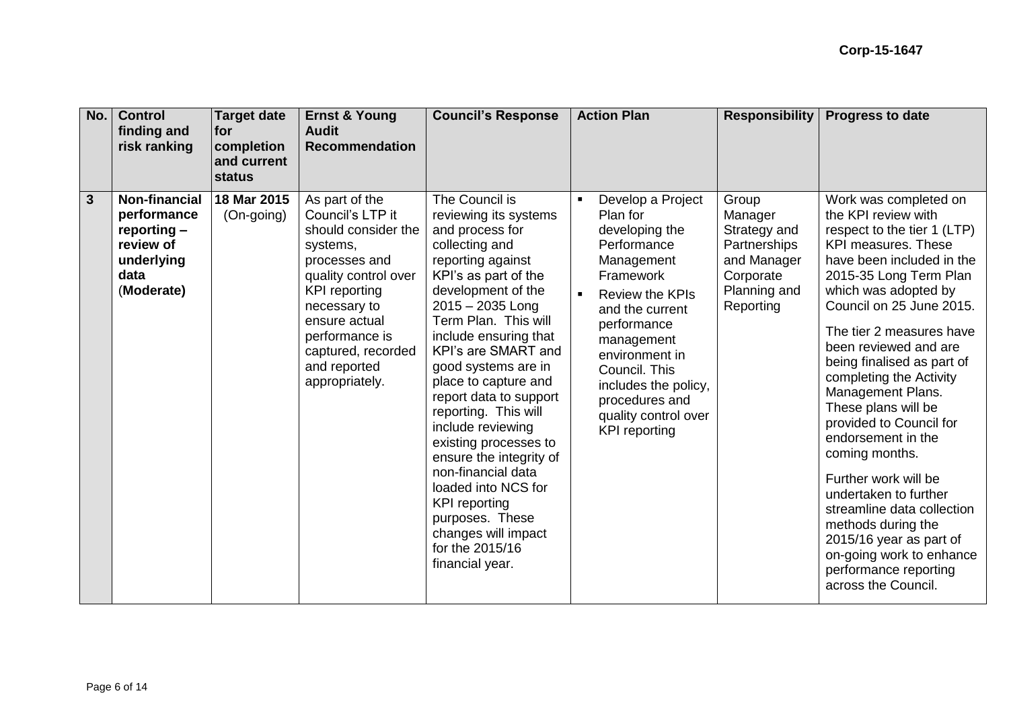| No.                     | <b>Control</b><br>finding and<br>risk ranking                                                         | <b>Target date</b><br><b>for</b><br>completion<br>and current<br>status | <b>Ernst &amp; Young</b><br><b>Audit</b><br><b>Recommendation</b>                                                                                                                                                                                 | <b>Council's Response</b>                                                                                                                                                                                                                                                                                                                                                                                                                                                                                                                                                    | <b>Action Plan</b>                                                                                                                                                                                                                                                                               | <b>Responsibility</b>                                                                                     | <b>Progress to date</b>                                                                                                                                                                                                                                                                                                                                                                                                                                                                                                                                                                                                                                       |
|-------------------------|-------------------------------------------------------------------------------------------------------|-------------------------------------------------------------------------|---------------------------------------------------------------------------------------------------------------------------------------------------------------------------------------------------------------------------------------------------|------------------------------------------------------------------------------------------------------------------------------------------------------------------------------------------------------------------------------------------------------------------------------------------------------------------------------------------------------------------------------------------------------------------------------------------------------------------------------------------------------------------------------------------------------------------------------|--------------------------------------------------------------------------------------------------------------------------------------------------------------------------------------------------------------------------------------------------------------------------------------------------|-----------------------------------------------------------------------------------------------------------|---------------------------------------------------------------------------------------------------------------------------------------------------------------------------------------------------------------------------------------------------------------------------------------------------------------------------------------------------------------------------------------------------------------------------------------------------------------------------------------------------------------------------------------------------------------------------------------------------------------------------------------------------------------|
| $\overline{\mathbf{3}}$ | <b>Non-financial</b><br>performance<br>reporting $-$<br>review of<br>underlying<br>data<br>(Moderate) | 18 Mar 2015<br>(On-going)                                               | As part of the<br>Council's LTP it<br>should consider the<br>systems,<br>processes and<br>quality control over<br><b>KPI</b> reporting<br>necessary to<br>ensure actual<br>performance is<br>captured, recorded<br>and reported<br>appropriately. | The Council is<br>reviewing its systems<br>and process for<br>collecting and<br>reporting against<br>KPI's as part of the<br>development of the<br>$2015 - 2035$ Long<br>Term Plan. This will<br>include ensuring that<br>KPI's are SMART and<br>good systems are in<br>place to capture and<br>report data to support<br>reporting. This will<br>include reviewing<br>existing processes to<br>ensure the integrity of<br>non-financial data<br>loaded into NCS for<br><b>KPI</b> reporting<br>purposes. These<br>changes will impact<br>for the 2015/16<br>financial year. | Develop a Project<br>Plan for<br>developing the<br>Performance<br>Management<br>Framework<br><b>Review the KPIs</b><br>and the current<br>performance<br>management<br>environment in<br>Council. This<br>includes the policy,<br>procedures and<br>quality control over<br><b>KPI</b> reporting | Group<br>Manager<br>Strategy and<br>Partnerships<br>and Manager<br>Corporate<br>Planning and<br>Reporting | Work was completed on<br>the KPI review with<br>respect to the tier 1 (LTP)<br><b>KPI measures. These</b><br>have been included in the<br>2015-35 Long Term Plan<br>which was adopted by<br>Council on 25 June 2015.<br>The tier 2 measures have<br>been reviewed and are<br>being finalised as part of<br>completing the Activity<br>Management Plans.<br>These plans will be<br>provided to Council for<br>endorsement in the<br>coming months.<br>Further work will be<br>undertaken to further<br>streamline data collection<br>methods during the<br>2015/16 year as part of<br>on-going work to enhance<br>performance reporting<br>across the Council. |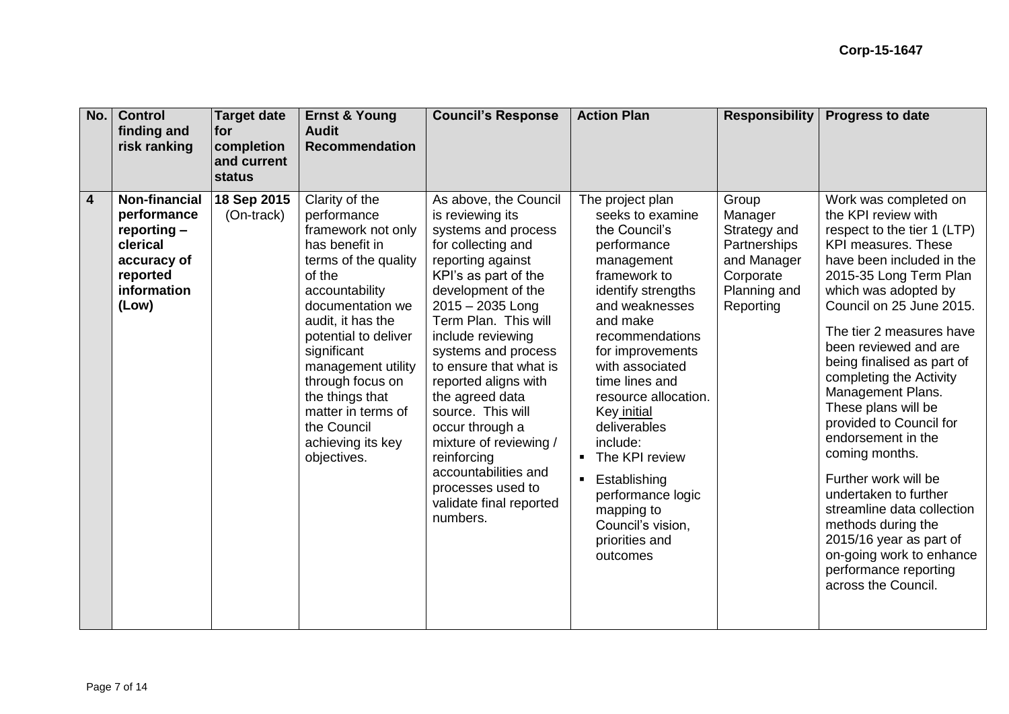| No.            | <b>Control</b><br>finding and<br>risk ranking                                                                     | <b>Target date</b><br>for<br>completion<br>and current<br><b>status</b> | <b>Ernst &amp; Young</b><br><b>Audit</b><br><b>Recommendation</b>                                                                                                                                                                                                                                                                               | <b>Council's Response</b>                                                                                                                                                                                                                                                                                                                                                                                                                                                                     | <b>Action Plan</b>                                                                                                                                                                                                                                                                                                                                                                                                                                                | <b>Responsibility</b>                                                                                     | <b>Progress to date</b>                                                                                                                                                                                                                                                                                                                                                                                                                                                                                                                                                                                                                                |
|----------------|-------------------------------------------------------------------------------------------------------------------|-------------------------------------------------------------------------|-------------------------------------------------------------------------------------------------------------------------------------------------------------------------------------------------------------------------------------------------------------------------------------------------------------------------------------------------|-----------------------------------------------------------------------------------------------------------------------------------------------------------------------------------------------------------------------------------------------------------------------------------------------------------------------------------------------------------------------------------------------------------------------------------------------------------------------------------------------|-------------------------------------------------------------------------------------------------------------------------------------------------------------------------------------------------------------------------------------------------------------------------------------------------------------------------------------------------------------------------------------------------------------------------------------------------------------------|-----------------------------------------------------------------------------------------------------------|--------------------------------------------------------------------------------------------------------------------------------------------------------------------------------------------------------------------------------------------------------------------------------------------------------------------------------------------------------------------------------------------------------------------------------------------------------------------------------------------------------------------------------------------------------------------------------------------------------------------------------------------------------|
| $\overline{4}$ | <b>Non-financial</b><br>performance<br>reporting -<br>clerical<br>accuracy of<br>reported<br>information<br>(Low) | 18 Sep 2015<br>(On-track)                                               | Clarity of the<br>performance<br>framework not only<br>has benefit in<br>terms of the quality<br>of the<br>accountability<br>documentation we<br>audit, it has the<br>potential to deliver<br>significant<br>management utility<br>through focus on<br>the things that<br>matter in terms of<br>the Council<br>achieving its key<br>objectives. | As above, the Council<br>is reviewing its<br>systems and process<br>for collecting and<br>reporting against<br>KPI's as part of the<br>development of the<br>$2015 - 2035$ Long<br>Term Plan. This will<br>include reviewing<br>systems and process<br>to ensure that what is<br>reported aligns with<br>the agreed data<br>source. This will<br>occur through a<br>mixture of reviewing /<br>reinforcing<br>accountabilities and<br>processes used to<br>validate final reported<br>numbers. | The project plan<br>seeks to examine<br>the Council's<br>performance<br>management<br>framework to<br>identify strengths<br>and weaknesses<br>and make<br>recommendations<br>for improvements<br>with associated<br>time lines and<br>resource allocation.<br>Key initial<br>deliverables<br>include:<br>The KPI review<br>$\blacksquare$<br>Establishing<br>$\blacksquare$<br>performance logic<br>mapping to<br>Council's vision,<br>priorities and<br>outcomes | Group<br>Manager<br>Strategy and<br>Partnerships<br>and Manager<br>Corporate<br>Planning and<br>Reporting | Work was completed on<br>the KPI review with<br>respect to the tier 1 (LTP)<br>KPI measures. These<br>have been included in the<br>2015-35 Long Term Plan<br>which was adopted by<br>Council on 25 June 2015.<br>The tier 2 measures have<br>been reviewed and are<br>being finalised as part of<br>completing the Activity<br>Management Plans.<br>These plans will be<br>provided to Council for<br>endorsement in the<br>coming months.<br>Further work will be<br>undertaken to further<br>streamline data collection<br>methods during the<br>2015/16 year as part of<br>on-going work to enhance<br>performance reporting<br>across the Council. |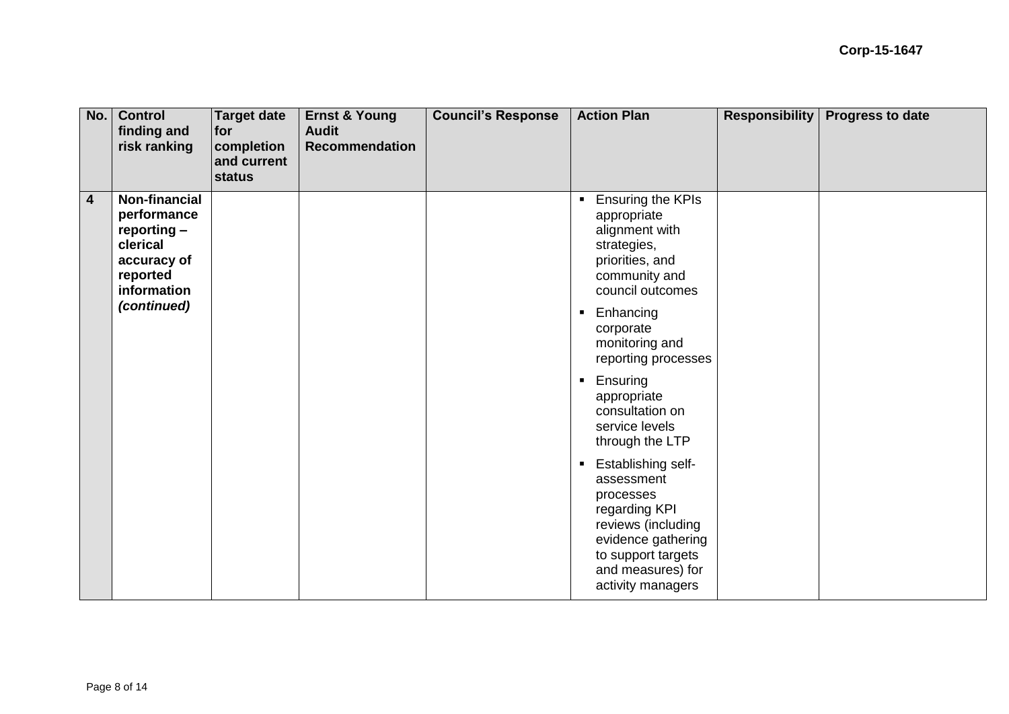| No.                     | <b>Control</b><br>finding and<br>risk ranking                                                              | <b>Target date</b><br>for<br>completion<br>and current<br>status | <b>Ernst &amp; Young</b><br><b>Audit</b><br><b>Recommendation</b> | <b>Council's Response</b> | <b>Action Plan</b>                                                                                                                                                                           | <b>Responsibility</b> | <b>Progress to date</b> |
|-------------------------|------------------------------------------------------------------------------------------------------------|------------------------------------------------------------------|-------------------------------------------------------------------|---------------------------|----------------------------------------------------------------------------------------------------------------------------------------------------------------------------------------------|-----------------------|-------------------------|
| $\overline{\mathbf{4}}$ | <b>Non-financial</b><br>performance<br>$reporting -$<br>clerical<br>accuracy of<br>reported<br>information |                                                                  |                                                                   |                           | Ensuring the KPIs<br>$\blacksquare$<br>appropriate<br>alignment with<br>strategies,<br>priorities, and<br>community and<br>council outcomes                                                  |                       |                         |
|                         | (continued)                                                                                                |                                                                  |                                                                   |                           | Enhancing<br>$\blacksquare$<br>corporate<br>monitoring and<br>reporting processes                                                                                                            |                       |                         |
|                         |                                                                                                            |                                                                  |                                                                   |                           | Ensuring<br>$\blacksquare$<br>appropriate<br>consultation on<br>service levels<br>through the LTP                                                                                            |                       |                         |
|                         |                                                                                                            |                                                                  |                                                                   |                           | Establishing self-<br>$\blacksquare$<br>assessment<br>processes<br>regarding KPI<br>reviews (including<br>evidence gathering<br>to support targets<br>and measures) for<br>activity managers |                       |                         |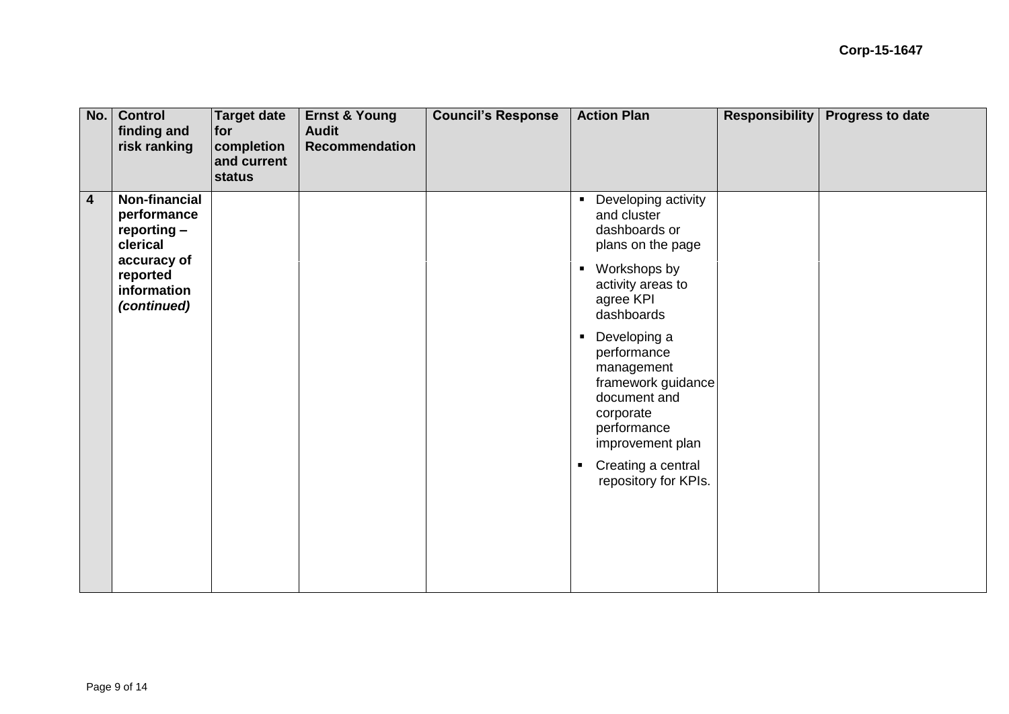| No.                     | <b>Control</b><br>finding and<br>risk ranking                                                                      | <b>Target date</b><br>for<br>completion<br>and current<br>status | <b>Ernst &amp; Young</b><br><b>Audit</b><br><b>Recommendation</b> | <b>Council's Response</b> | <b>Action Plan</b>                                                                                                                                                                                                | <b>Responsibility</b> | <b>Progress to date</b> |
|-------------------------|--------------------------------------------------------------------------------------------------------------------|------------------------------------------------------------------|-------------------------------------------------------------------|---------------------------|-------------------------------------------------------------------------------------------------------------------------------------------------------------------------------------------------------------------|-----------------------|-------------------------|
| $\overline{\mathbf{4}}$ | Non-financial<br>performance<br>$reporting -$<br>clerical<br>accuracy of<br>reported<br>information<br>(continued) |                                                                  |                                                                   |                           | Developing activity<br>$\blacksquare$<br>and cluster<br>dashboards or<br>plans on the page<br>Workshops by<br>$\blacksquare$<br>activity areas to<br>agree KPI<br>dashboards                                      |                       |                         |
|                         |                                                                                                                    |                                                                  |                                                                   |                           | Developing a<br>$\blacksquare$<br>performance<br>management<br>framework guidance<br>document and<br>corporate<br>performance<br>improvement plan<br>Creating a central<br>$\blacksquare$<br>repository for KPIs. |                       |                         |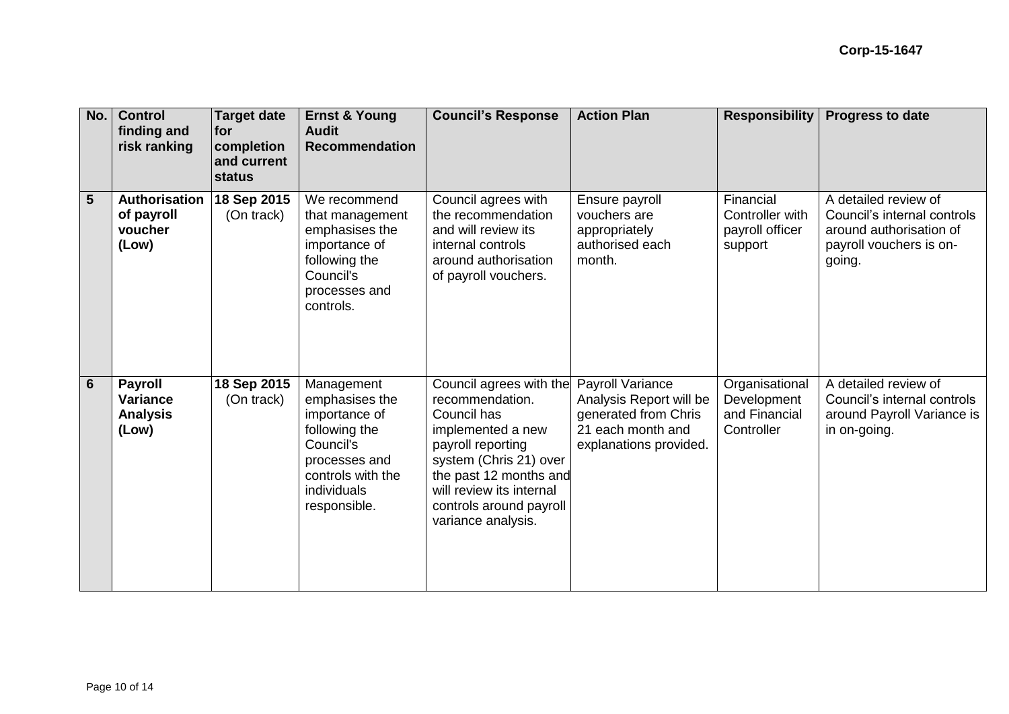| No.            | <b>Control</b><br>finding and<br>risk ranking                 | <b>Target date</b><br> for<br>completion<br>and current<br>status | <b>Ernst &amp; Young</b><br><b>Audit</b><br><b>Recommendation</b>                                                                                | <b>Council's Response</b>                                                                                                                                                                                                            | <b>Action Plan</b>                                                                                                        | <b>Responsibility</b>                                        | <b>Progress to date</b>                                                                                             |
|----------------|---------------------------------------------------------------|-------------------------------------------------------------------|--------------------------------------------------------------------------------------------------------------------------------------------------|--------------------------------------------------------------------------------------------------------------------------------------------------------------------------------------------------------------------------------------|---------------------------------------------------------------------------------------------------------------------------|--------------------------------------------------------------|---------------------------------------------------------------------------------------------------------------------|
| $5\phantom{.}$ | Authorisation<br>of payroll<br>voucher<br>(Low)               | 18 Sep 2015<br>(On track)                                         | We recommend<br>that management<br>emphasises the<br>importance of<br>following the<br>Council's<br>processes and<br>controls.                   | Council agrees with<br>the recommendation<br>and will review its<br>internal controls<br>around authorisation<br>of payroll vouchers.                                                                                                | Ensure payroll<br>vouchers are<br>appropriately<br>authorised each<br>month.                                              | Financial<br>Controller with<br>payroll officer<br>support   | A detailed review of<br>Council's internal controls<br>around authorisation of<br>payroll vouchers is on-<br>going. |
| $6\phantom{1}$ | <b>Payroll</b><br><b>Variance</b><br><b>Analysis</b><br>(Low) | 18 Sep 2015<br>(On track)                                         | Management<br>emphasises the<br>importance of<br>following the<br>Council's<br>processes and<br>controls with the<br>individuals<br>responsible. | Council agrees with the<br>recommendation.<br>Council has<br>implemented a new<br>payroll reporting<br>system (Chris 21) over<br>the past 12 months and<br>will review its internal<br>controls around payroll<br>variance analysis. | <b>Payroll Variance</b><br>Analysis Report will be<br>generated from Chris<br>21 each month and<br>explanations provided. | Organisational<br>Development<br>and Financial<br>Controller | A detailed review of<br>Council's internal controls<br>around Payroll Variance is<br>in on-going.                   |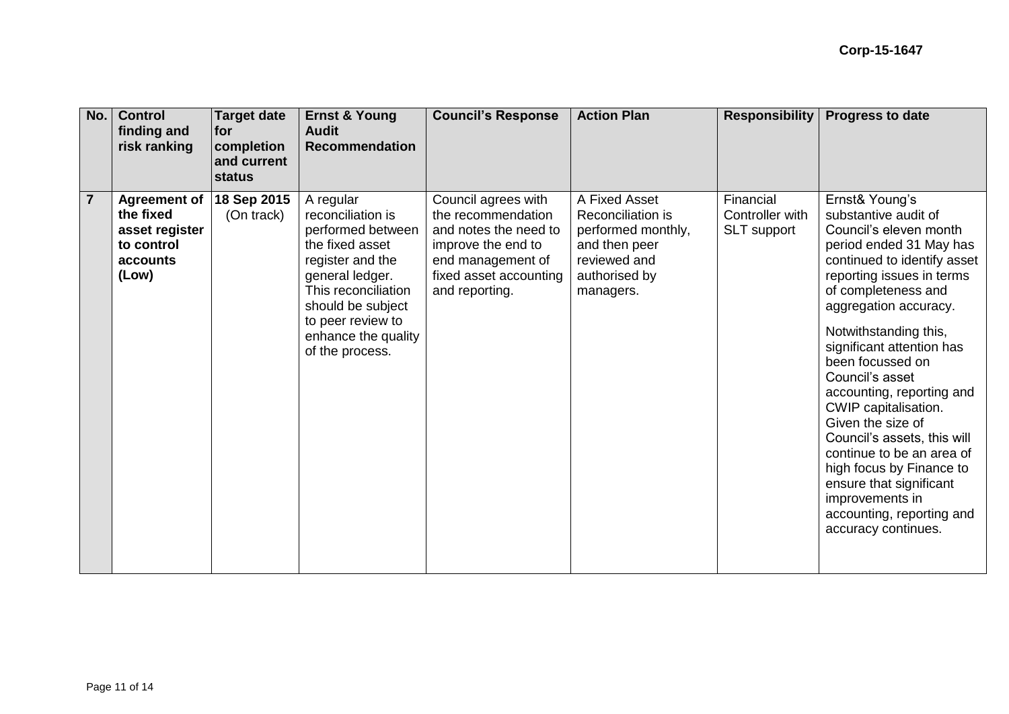| No.            | <b>Control</b><br>finding and<br>risk ranking                                         | <b>Target date</b><br><b>for</b><br>completion<br>and current<br><b>status</b> | <b>Ernst &amp; Young</b><br><b>Audit</b><br><b>Recommendation</b>                                                                                                                                                        | <b>Council's Response</b>                                                                                                                                 | <b>Action Plan</b>                                                                                                      | <b>Responsibility</b>                       | <b>Progress to date</b>                                                                                                                                                                                                                                                                                                                                                                                                                                                                                                                                                  |
|----------------|---------------------------------------------------------------------------------------|--------------------------------------------------------------------------------|--------------------------------------------------------------------------------------------------------------------------------------------------------------------------------------------------------------------------|-----------------------------------------------------------------------------------------------------------------------------------------------------------|-------------------------------------------------------------------------------------------------------------------------|---------------------------------------------|--------------------------------------------------------------------------------------------------------------------------------------------------------------------------------------------------------------------------------------------------------------------------------------------------------------------------------------------------------------------------------------------------------------------------------------------------------------------------------------------------------------------------------------------------------------------------|
| $\overline{7}$ | <b>Agreement of</b><br>the fixed<br>asset register<br>to control<br>accounts<br>(Low) | 18 Sep 2015<br>(On track)                                                      | A regular<br>reconciliation is<br>performed between<br>the fixed asset<br>register and the<br>general ledger.<br>This reconciliation<br>should be subject<br>to peer review to<br>enhance the quality<br>of the process. | Council agrees with<br>the recommendation<br>and notes the need to<br>improve the end to<br>end management of<br>fixed asset accounting<br>and reporting. | A Fixed Asset<br>Reconciliation is<br>performed monthly,<br>and then peer<br>reviewed and<br>authorised by<br>managers. | Financial<br>Controller with<br>SLT support | Ernst& Young's<br>substantive audit of<br>Council's eleven month<br>period ended 31 May has<br>continued to identify asset<br>reporting issues in terms<br>of completeness and<br>aggregation accuracy.<br>Notwithstanding this,<br>significant attention has<br>been focussed on<br>Council's asset<br>accounting, reporting and<br>CWIP capitalisation.<br>Given the size of<br>Council's assets, this will<br>continue to be an area of<br>high focus by Finance to<br>ensure that significant<br>improvements in<br>accounting, reporting and<br>accuracy continues. |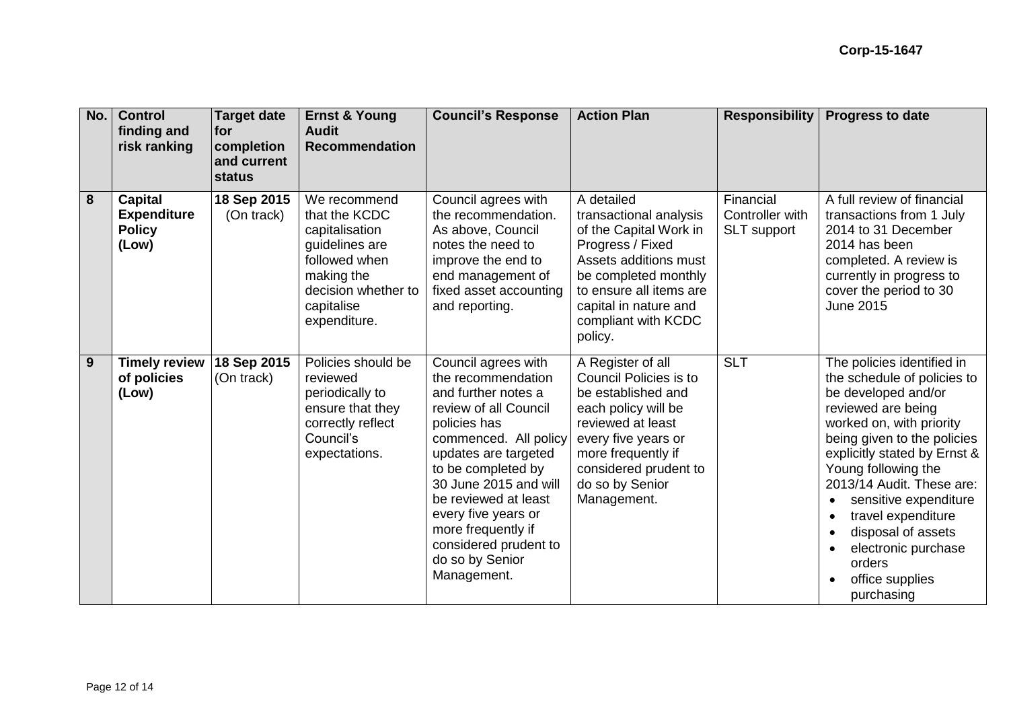| No. | <b>Control</b><br>finding and<br>risk ranking                  | <b>Target date</b><br><b>Ifor</b><br>completion<br>and current<br>status | <b>Ernst &amp; Young</b><br><b>Audit</b><br><b>Recommendation</b>                                                                                     | <b>Council's Response</b>                                                                                                                                                                                                                                                                                                                 | <b>Action Plan</b>                                                                                                                                                                                                        | <b>Responsibility</b>                       | <b>Progress to date</b>                                                                                                                                                                                                                                                                                                                                                                                                |
|-----|----------------------------------------------------------------|--------------------------------------------------------------------------|-------------------------------------------------------------------------------------------------------------------------------------------------------|-------------------------------------------------------------------------------------------------------------------------------------------------------------------------------------------------------------------------------------------------------------------------------------------------------------------------------------------|---------------------------------------------------------------------------------------------------------------------------------------------------------------------------------------------------------------------------|---------------------------------------------|------------------------------------------------------------------------------------------------------------------------------------------------------------------------------------------------------------------------------------------------------------------------------------------------------------------------------------------------------------------------------------------------------------------------|
| 8   | <b>Capital</b><br><b>Expenditure</b><br><b>Policy</b><br>(Low) | 18 Sep 2015<br>(On track)                                                | We recommend<br>that the KCDC<br>capitalisation<br>quidelines are<br>followed when<br>making the<br>decision whether to<br>capitalise<br>expenditure. | Council agrees with<br>the recommendation.<br>As above, Council<br>notes the need to<br>improve the end to<br>end management of<br>fixed asset accounting<br>and reporting.                                                                                                                                                               | A detailed<br>transactional analysis<br>of the Capital Work in<br>Progress / Fixed<br>Assets additions must<br>be completed monthly<br>to ensure all items are<br>capital in nature and<br>compliant with KCDC<br>policy. | Financial<br>Controller with<br>SLT support | A full review of financial<br>transactions from 1 July<br>2014 to 31 December<br>2014 has been<br>completed. A review is<br>currently in progress to<br>cover the period to 30<br><b>June 2015</b>                                                                                                                                                                                                                     |
| 9   | <b>Timely review</b><br>of policies<br>(Low)                   | 18 Sep 2015<br>(On track)                                                | Policies should be<br>reviewed<br>periodically to<br>ensure that they<br>correctly reflect<br>Council's<br>expectations.                              | Council agrees with<br>the recommendation<br>and further notes a<br>review of all Council<br>policies has<br>commenced. All policy<br>updates are targeted<br>to be completed by<br>30 June 2015 and will<br>be reviewed at least<br>every five years or<br>more frequently if<br>considered prudent to<br>do so by Senior<br>Management. | A Register of all<br>Council Policies is to<br>be established and<br>each policy will be<br>reviewed at least<br>every five years or<br>more frequently if<br>considered prudent to<br>do so by Senior<br>Management.     | <b>SLT</b>                                  | The policies identified in<br>the schedule of policies to<br>be developed and/or<br>reviewed are being<br>worked on, with priority<br>being given to the policies<br>explicitly stated by Ernst &<br>Young following the<br>2013/14 Audit. These are:<br>sensitive expenditure<br>travel expenditure<br>$\bullet$<br>disposal of assets<br>$\bullet$<br>electronic purchase<br>orders<br>office supplies<br>purchasing |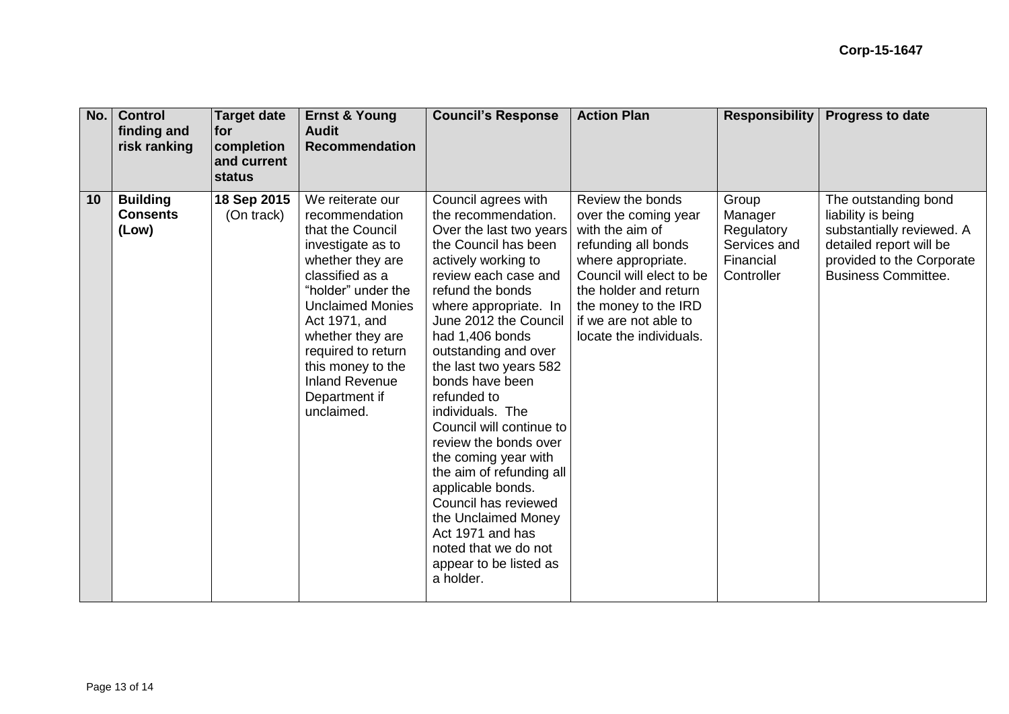| No. | <b>Control</b><br>finding and<br>risk ranking | <b>Target date</b><br>for<br>completion<br>and current<br>status | <b>Ernst &amp; Young</b><br><b>Audit</b><br><b>Recommendation</b>                                                                                                                                                                                                                                           | <b>Council's Response</b>                                                                                                                                                                                                                                                                                                                                                                                                                                                                                                                                                                                     | <b>Action Plan</b>                                                                                                                                                                                                                        | <b>Responsibility</b>                                                     | <b>Progress to date</b>                                                                                                                                       |
|-----|-----------------------------------------------|------------------------------------------------------------------|-------------------------------------------------------------------------------------------------------------------------------------------------------------------------------------------------------------------------------------------------------------------------------------------------------------|---------------------------------------------------------------------------------------------------------------------------------------------------------------------------------------------------------------------------------------------------------------------------------------------------------------------------------------------------------------------------------------------------------------------------------------------------------------------------------------------------------------------------------------------------------------------------------------------------------------|-------------------------------------------------------------------------------------------------------------------------------------------------------------------------------------------------------------------------------------------|---------------------------------------------------------------------------|---------------------------------------------------------------------------------------------------------------------------------------------------------------|
| 10  | <b>Building</b><br><b>Consents</b><br>(Low)   | 18 Sep 2015<br>(On track)                                        | We reiterate our<br>recommendation<br>that the Council<br>investigate as to<br>whether they are<br>classified as a<br>"holder" under the<br><b>Unclaimed Monies</b><br>Act 1971, and<br>whether they are<br>required to return<br>this money to the<br><b>Inland Revenue</b><br>Department if<br>unclaimed. | Council agrees with<br>the recommendation.<br>Over the last two years<br>the Council has been<br>actively working to<br>review each case and<br>refund the bonds<br>where appropriate. In<br>June 2012 the Council<br>had 1,406 bonds<br>outstanding and over<br>the last two years 582<br>bonds have been<br>refunded to<br>individuals. The<br>Council will continue to<br>review the bonds over<br>the coming year with<br>the aim of refunding all<br>applicable bonds.<br>Council has reviewed<br>the Unclaimed Money<br>Act 1971 and has<br>noted that we do not<br>appear to be listed as<br>a holder. | Review the bonds<br>over the coming year<br>with the aim of<br>refunding all bonds<br>where appropriate.<br>Council will elect to be<br>the holder and return<br>the money to the IRD<br>if we are not able to<br>locate the individuals. | Group<br>Manager<br>Regulatory<br>Services and<br>Financial<br>Controller | The outstanding bond<br>liability is being<br>substantially reviewed. A<br>detailed report will be<br>provided to the Corporate<br><b>Business Committee.</b> |